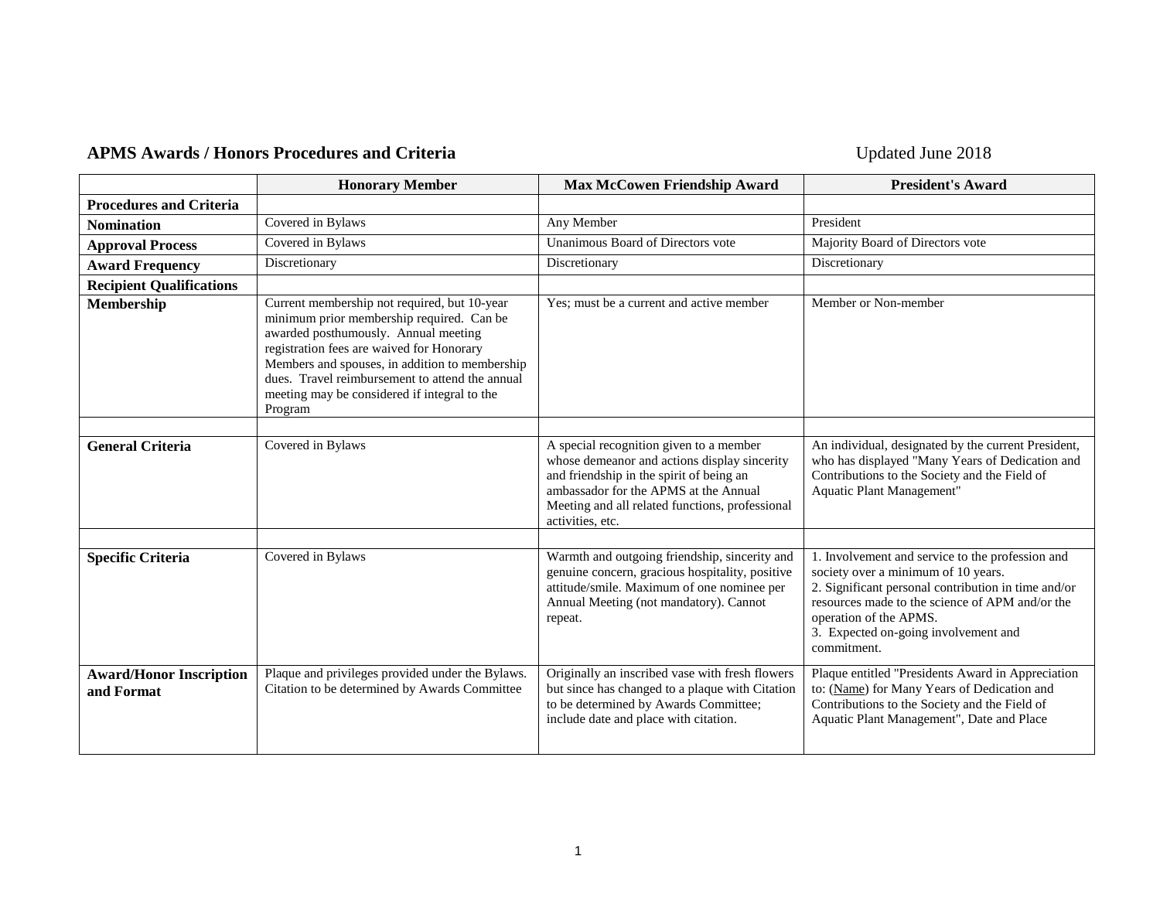## APMS Awards / Honors Procedures and Criteria **Department of the Updated June 2018**

|                                              | <b>Honorary Member</b>                                                                                                                                                                                                                                                                                                                         | <b>Max McCowen Friendship Award</b>                                                                                                                                                                 | <b>President's Award</b>                                                                                                                                                                                                                                                           |
|----------------------------------------------|------------------------------------------------------------------------------------------------------------------------------------------------------------------------------------------------------------------------------------------------------------------------------------------------------------------------------------------------|-----------------------------------------------------------------------------------------------------------------------------------------------------------------------------------------------------|------------------------------------------------------------------------------------------------------------------------------------------------------------------------------------------------------------------------------------------------------------------------------------|
| <b>Procedures and Criteria</b>               |                                                                                                                                                                                                                                                                                                                                                |                                                                                                                                                                                                     |                                                                                                                                                                                                                                                                                    |
| <b>Nomination</b>                            | Covered in Bylaws                                                                                                                                                                                                                                                                                                                              | Any Member                                                                                                                                                                                          | President                                                                                                                                                                                                                                                                          |
| <b>Approval Process</b>                      | Covered in Bylaws                                                                                                                                                                                                                                                                                                                              | Unanimous Board of Directors vote                                                                                                                                                                   | Majority Board of Directors vote                                                                                                                                                                                                                                                   |
| <b>Award Frequency</b>                       | Discretionary                                                                                                                                                                                                                                                                                                                                  | Discretionary                                                                                                                                                                                       | Discretionary                                                                                                                                                                                                                                                                      |
| <b>Recipient Qualifications</b>              |                                                                                                                                                                                                                                                                                                                                                |                                                                                                                                                                                                     |                                                                                                                                                                                                                                                                                    |
| Membership                                   | Current membership not required, but 10-year<br>minimum prior membership required. Can be<br>awarded posthumously. Annual meeting<br>registration fees are waived for Honorary<br>Members and spouses, in addition to membership<br>dues. Travel reimbursement to attend the annual<br>meeting may be considered if integral to the<br>Program | Yes; must be a current and active member                                                                                                                                                            | Member or Non-member                                                                                                                                                                                                                                                               |
| <b>General Criteria</b>                      | Covered in Bylaws                                                                                                                                                                                                                                                                                                                              | A special recognition given to a member<br>whose demeanor and actions display sincerity<br>and friendship in the spirit of being an<br>ambassador for the APMS at the Annual                        | An individual, designated by the current President,<br>who has displayed "Many Years of Dedication and<br>Contributions to the Society and the Field of<br>Aquatic Plant Management"                                                                                               |
|                                              |                                                                                                                                                                                                                                                                                                                                                | Meeting and all related functions, professional<br>activities, etc.                                                                                                                                 |                                                                                                                                                                                                                                                                                    |
|                                              |                                                                                                                                                                                                                                                                                                                                                |                                                                                                                                                                                                     |                                                                                                                                                                                                                                                                                    |
| <b>Specific Criteria</b>                     | Covered in Bylaws                                                                                                                                                                                                                                                                                                                              | Warmth and outgoing friendship, sincerity and<br>genuine concern, gracious hospitality, positive<br>attitude/smile. Maximum of one nominee per<br>Annual Meeting (not mandatory). Cannot<br>repeat. | 1. Involvement and service to the profession and<br>society over a minimum of 10 years.<br>2. Significant personal contribution in time and/or<br>resources made to the science of APM and/or the<br>operation of the APMS.<br>3. Expected on-going involvement and<br>commitment. |
| <b>Award/Honor Inscription</b><br>and Format | Plaque and privileges provided under the Bylaws.<br>Citation to be determined by Awards Committee                                                                                                                                                                                                                                              | Originally an inscribed vase with fresh flowers<br>but since has changed to a plaque with Citation<br>to be determined by Awards Committee;<br>include date and place with citation.                | Plaque entitled "Presidents Award in Appreciation<br>to: (Name) for Many Years of Dedication and<br>Contributions to the Society and the Field of<br>Aquatic Plant Management", Date and Place                                                                                     |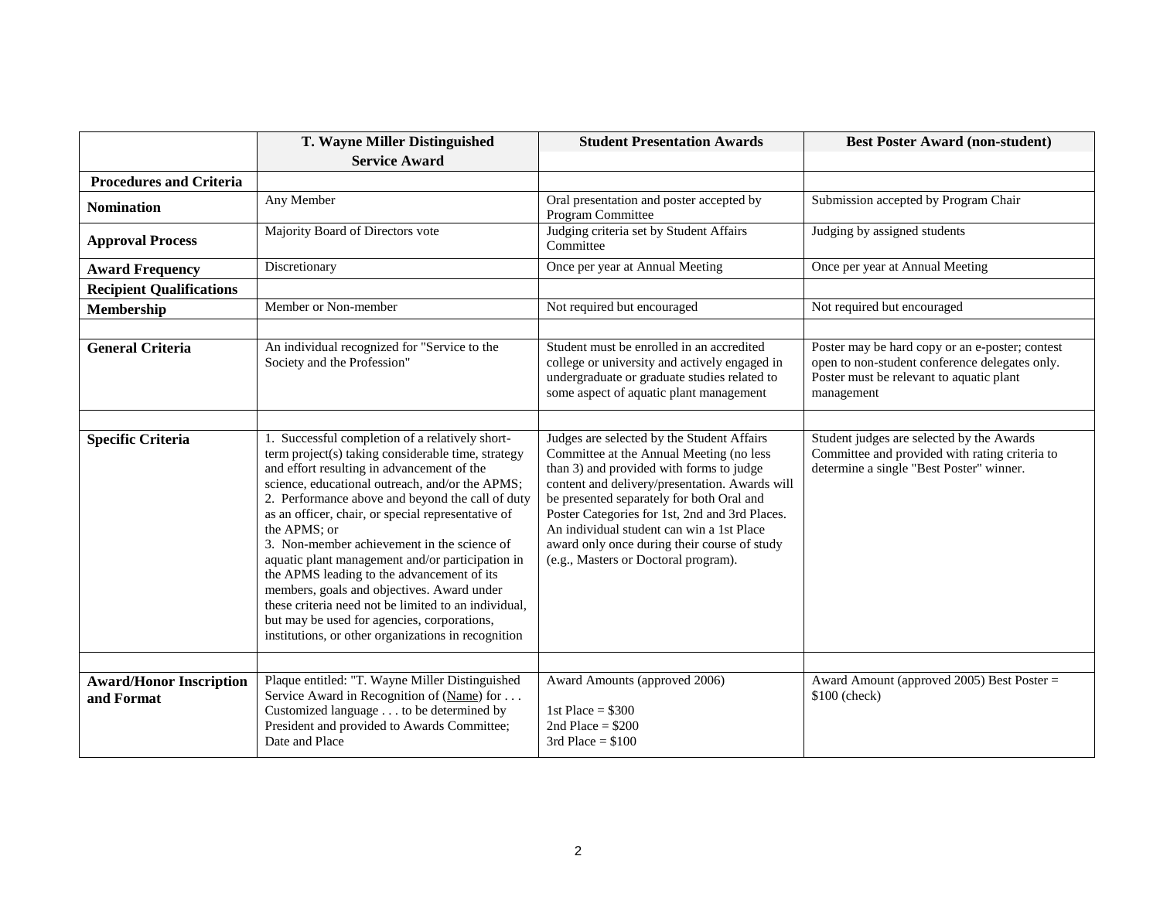|                                              | T. Wayne Miller Distinguished                                                                                                                                                                                                                                                                                                                                                                                                                                                                                                                                                                                                                                                                 | <b>Student Presentation Awards</b>                                                                                                                                                                                                                                                                                                                                                                                       | <b>Best Poster Award (non-student)</b>                                                                                                                      |
|----------------------------------------------|-----------------------------------------------------------------------------------------------------------------------------------------------------------------------------------------------------------------------------------------------------------------------------------------------------------------------------------------------------------------------------------------------------------------------------------------------------------------------------------------------------------------------------------------------------------------------------------------------------------------------------------------------------------------------------------------------|--------------------------------------------------------------------------------------------------------------------------------------------------------------------------------------------------------------------------------------------------------------------------------------------------------------------------------------------------------------------------------------------------------------------------|-------------------------------------------------------------------------------------------------------------------------------------------------------------|
|                                              | <b>Service Award</b>                                                                                                                                                                                                                                                                                                                                                                                                                                                                                                                                                                                                                                                                          |                                                                                                                                                                                                                                                                                                                                                                                                                          |                                                                                                                                                             |
| <b>Procedures and Criteria</b>               |                                                                                                                                                                                                                                                                                                                                                                                                                                                                                                                                                                                                                                                                                               |                                                                                                                                                                                                                                                                                                                                                                                                                          |                                                                                                                                                             |
| <b>Nomination</b>                            | Any Member                                                                                                                                                                                                                                                                                                                                                                                                                                                                                                                                                                                                                                                                                    | Oral presentation and poster accepted by<br>Program Committee                                                                                                                                                                                                                                                                                                                                                            | Submission accepted by Program Chair                                                                                                                        |
| <b>Approval Process</b>                      | Majority Board of Directors vote                                                                                                                                                                                                                                                                                                                                                                                                                                                                                                                                                                                                                                                              | Judging criteria set by Student Affairs<br>Committee                                                                                                                                                                                                                                                                                                                                                                     | Judging by assigned students                                                                                                                                |
| <b>Award Frequency</b>                       | Discretionary                                                                                                                                                                                                                                                                                                                                                                                                                                                                                                                                                                                                                                                                                 | Once per year at Annual Meeting                                                                                                                                                                                                                                                                                                                                                                                          | Once per year at Annual Meeting                                                                                                                             |
| <b>Recipient Qualifications</b>              |                                                                                                                                                                                                                                                                                                                                                                                                                                                                                                                                                                                                                                                                                               |                                                                                                                                                                                                                                                                                                                                                                                                                          |                                                                                                                                                             |
| <b>Membership</b>                            | Member or Non-member                                                                                                                                                                                                                                                                                                                                                                                                                                                                                                                                                                                                                                                                          | Not required but encouraged                                                                                                                                                                                                                                                                                                                                                                                              | Not required but encouraged                                                                                                                                 |
|                                              |                                                                                                                                                                                                                                                                                                                                                                                                                                                                                                                                                                                                                                                                                               |                                                                                                                                                                                                                                                                                                                                                                                                                          |                                                                                                                                                             |
| <b>General Criteria</b>                      | An individual recognized for "Service to the<br>Society and the Profession"                                                                                                                                                                                                                                                                                                                                                                                                                                                                                                                                                                                                                   | Student must be enrolled in an accredited<br>college or university and actively engaged in<br>undergraduate or graduate studies related to<br>some aspect of aquatic plant management                                                                                                                                                                                                                                    | Poster may be hard copy or an e-poster; contest<br>open to non-student conference delegates only.<br>Poster must be relevant to aquatic plant<br>management |
|                                              |                                                                                                                                                                                                                                                                                                                                                                                                                                                                                                                                                                                                                                                                                               |                                                                                                                                                                                                                                                                                                                                                                                                                          |                                                                                                                                                             |
| <b>Specific Criteria</b>                     | 1. Successful completion of a relatively short-<br>term project(s) taking considerable time, strategy<br>and effort resulting in advancement of the<br>science, educational outreach, and/or the APMS;<br>2. Performance above and beyond the call of duty<br>as an officer, chair, or special representative of<br>the APMS; or<br>3. Non-member achievement in the science of<br>aquatic plant management and/or participation in<br>the APMS leading to the advancement of its<br>members, goals and objectives. Award under<br>these criteria need not be limited to an individual,<br>but may be used for agencies, corporations,<br>institutions, or other organizations in recognition | Judges are selected by the Student Affairs<br>Committee at the Annual Meeting (no less<br>than 3) and provided with forms to judge<br>content and delivery/presentation. Awards will<br>be presented separately for both Oral and<br>Poster Categories for 1st, 2nd and 3rd Places.<br>An individual student can win a 1st Place<br>award only once during their course of study<br>(e.g., Masters or Doctoral program). | Student judges are selected by the Awards<br>Committee and provided with rating criteria to<br>determine a single "Best Poster" winner.                     |
|                                              |                                                                                                                                                                                                                                                                                                                                                                                                                                                                                                                                                                                                                                                                                               |                                                                                                                                                                                                                                                                                                                                                                                                                          |                                                                                                                                                             |
| <b>Award/Honor Inscription</b><br>and Format | Plaque entitled: "T. Wayne Miller Distinguished<br>Service Award in Recognition of $(Name)$ for<br>Customized language to be determined by<br>President and provided to Awards Committee;<br>Date and Place                                                                                                                                                                                                                                                                                                                                                                                                                                                                                   | Award Amounts (approved 2006)<br>1st Place = $$300$<br>2nd Place = $$200$<br>3rd Place = $$100$                                                                                                                                                                                                                                                                                                                          | Award Amount (approved 2005) Best Poster =<br>\$100 (check)                                                                                                 |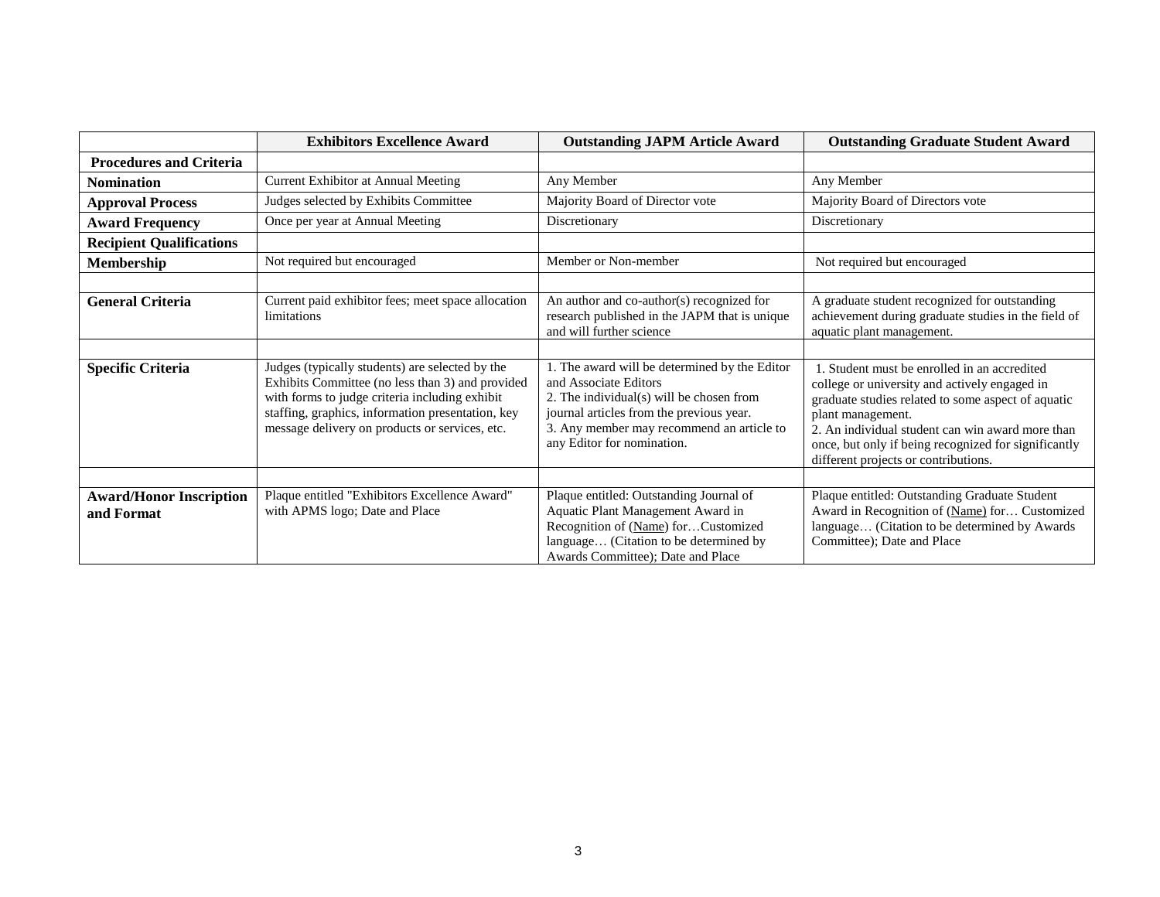|                                              | <b>Exhibitors Excellence Award</b>                                                                                                                                                                                                                           | <b>Outstanding JAPM Article Award</b>                                                                                                                                                                                                     | <b>Outstanding Graduate Student Award</b>                                                                                                                                                                                                                                                                                    |
|----------------------------------------------|--------------------------------------------------------------------------------------------------------------------------------------------------------------------------------------------------------------------------------------------------------------|-------------------------------------------------------------------------------------------------------------------------------------------------------------------------------------------------------------------------------------------|------------------------------------------------------------------------------------------------------------------------------------------------------------------------------------------------------------------------------------------------------------------------------------------------------------------------------|
| <b>Procedures and Criteria</b>               |                                                                                                                                                                                                                                                              |                                                                                                                                                                                                                                           |                                                                                                                                                                                                                                                                                                                              |
| <b>Nomination</b>                            | <b>Current Exhibitor at Annual Meeting</b>                                                                                                                                                                                                                   | Any Member                                                                                                                                                                                                                                | Any Member                                                                                                                                                                                                                                                                                                                   |
| <b>Approval Process</b>                      | Judges selected by Exhibits Committee                                                                                                                                                                                                                        | Majority Board of Director vote                                                                                                                                                                                                           | Majority Board of Directors vote                                                                                                                                                                                                                                                                                             |
| <b>Award Frequency</b>                       | Once per year at Annual Meeting                                                                                                                                                                                                                              | Discretionary                                                                                                                                                                                                                             | Discretionary                                                                                                                                                                                                                                                                                                                |
| <b>Recipient Qualifications</b>              |                                                                                                                                                                                                                                                              |                                                                                                                                                                                                                                           |                                                                                                                                                                                                                                                                                                                              |
| Membership                                   | Not required but encouraged                                                                                                                                                                                                                                  | Member or Non-member                                                                                                                                                                                                                      | Not required but encouraged                                                                                                                                                                                                                                                                                                  |
|                                              |                                                                                                                                                                                                                                                              |                                                                                                                                                                                                                                           |                                                                                                                                                                                                                                                                                                                              |
| <b>General Criteria</b>                      | Current paid exhibitor fees; meet space allocation<br>limitations                                                                                                                                                                                            | An author and co-author(s) recognized for<br>research published in the JAPM that is unique<br>and will further science                                                                                                                    | A graduate student recognized for outstanding<br>achievement during graduate studies in the field of<br>aquatic plant management.                                                                                                                                                                                            |
|                                              |                                                                                                                                                                                                                                                              |                                                                                                                                                                                                                                           |                                                                                                                                                                                                                                                                                                                              |
| <b>Specific Criteria</b>                     | Judges (typically students) are selected by the<br>Exhibits Committee (no less than 3) and provided<br>with forms to judge criteria including exhibit<br>staffing, graphics, information presentation, key<br>message delivery on products or services, etc. | 1. The award will be determined by the Editor<br>and Associate Editors<br>2. The individual(s) will be chosen from<br>journal articles from the previous year.<br>3. Any member may recommend an article to<br>any Editor for nomination. | 1. Student must be enrolled in an accredited<br>college or university and actively engaged in<br>graduate studies related to some aspect of aquatic<br>plant management.<br>2. An individual student can win award more than<br>once, but only if being recognized for significantly<br>different projects or contributions. |
|                                              |                                                                                                                                                                                                                                                              |                                                                                                                                                                                                                                           |                                                                                                                                                                                                                                                                                                                              |
| <b>Award/Honor Inscription</b><br>and Format | Plaque entitled "Exhibitors Excellence Award"<br>with APMS logo; Date and Place                                                                                                                                                                              | Plaque entitled: Outstanding Journal of<br>Aquatic Plant Management Award in<br>Recognition of (Name) forCustomized<br>language (Citation to be determined by<br>Awards Committee); Date and Place                                        | Plaque entitled: Outstanding Graduate Student<br>Award in Recognition of (Name) for Customized<br>language (Citation to be determined by Awards<br>Committee); Date and Place                                                                                                                                                |